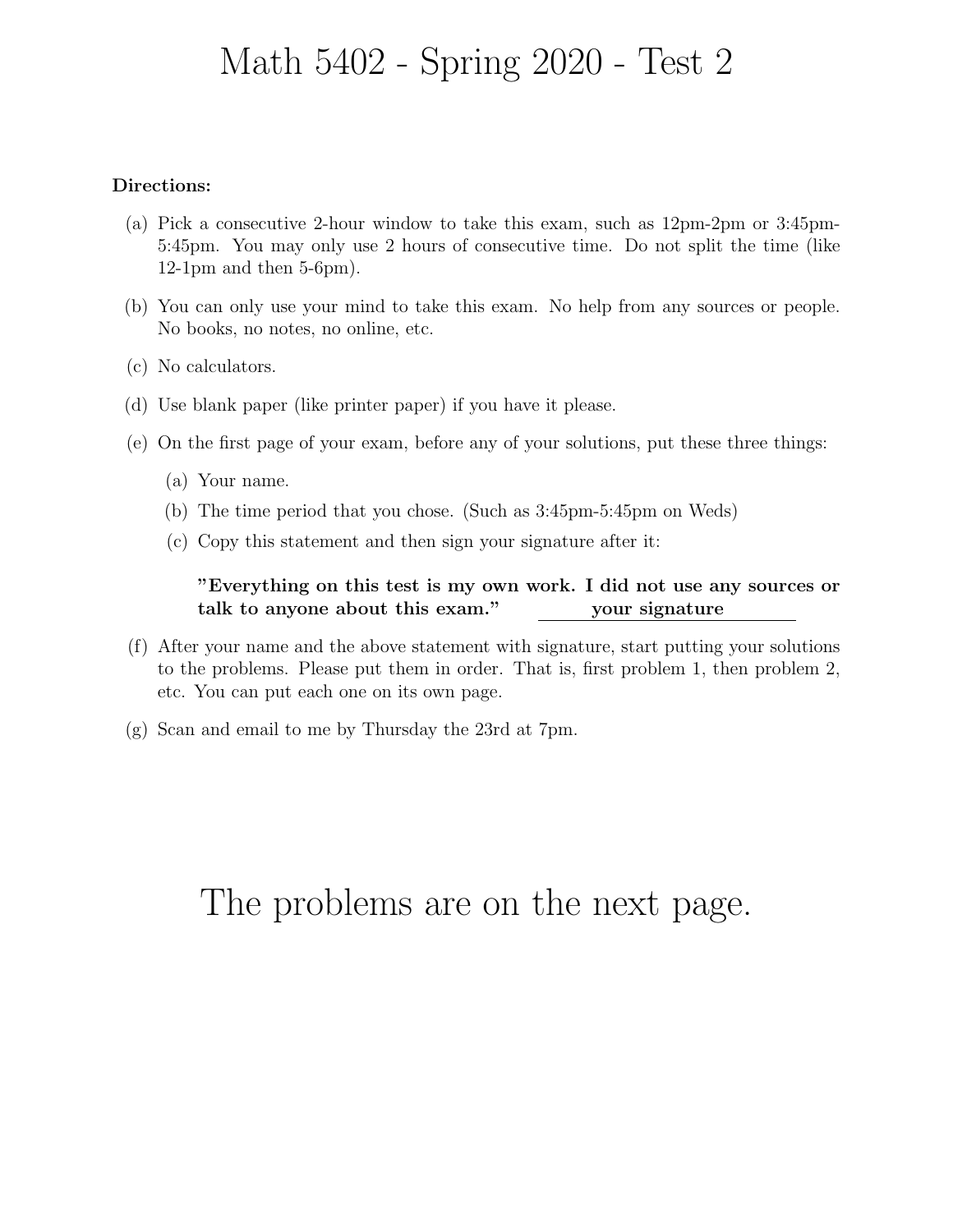# Math 5402 - Spring 2020 - Test 2

### Directions:

- (a) Pick a consecutive 2-hour window to take this exam, such as 12pm-2pm or 3:45pm-5:45pm. You may only use 2 hours of consecutive time. Do not split the time (like 12-1pm and then 5-6pm).
- (b) You can only use your mind to take this exam. No help from any sources or people. No books, no notes, no online, etc.
- (c) No calculators.
- (d) Use blank paper (like printer paper) if you have it please.
- (e) On the first page of your exam, before any of your solutions, put these three things:
	- (a) Your name.
	- (b) The time period that you chose. (Such as 3:45pm-5:45pm on Weds)
	- (c) Copy this statement and then sign your signature after it:

"Everything on this test is my own work. I did not use any sources or talk to anyone about this exam." your signature

- (f) After your name and the above statement with signature, start putting your solutions to the problems. Please put them in order. That is, first problem 1, then problem 2, etc. You can put each one on its own page.
- (g) Scan and email to me by Thursday the 23rd at 7pm.

# The problems are on the next page.